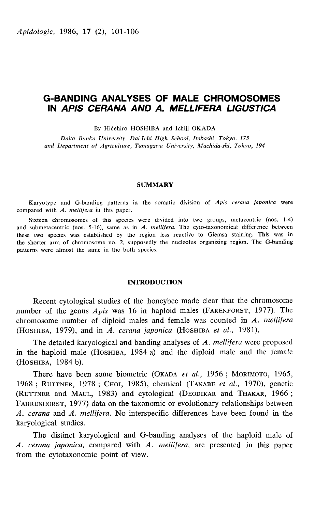# G-BANDING ANALYSES OF MALE CHROMOSOMES IN APIS CERANA AND A. MELLIFERA LIGUSTICA

By Hidehiro HOSHIBA and Ichiji OKADA

Daito Bunka University, Dai-Ichi High School, Itabashi, Tokyo, 175 and Department of Agriculture, Tamagawa University, Machida-shi, Tokyo, 194

### **SUMMARY**

Karyotype and G-banding patterns in the somatic division of Apis cerana japonica were compared with A. mellifera in this paper.

Sixteen chromosomes of this species were divided into two groups, metacentric (nos. 1-4) and submetacentric (nos. 5-16), same as in  $A$ . mellifera. The cyto-taxonomical difference between these two species was established by the region less reactive to Giemsa staining. This was in the shorter arm of chromosome no. 2, supposedly the nucleolus organizing region. The G-banding patterns were almost the same in the both species.

## **INTRODUCTION**

Recent cytological studies of the honeybee made clear that the chromosome number of the genus *Apis* was 16 in haploid males (FARENFORST, 1977). The **INTRODUCTION**<br>
Recent cytological studies of the honeybee made clear that the chromosome<br>
number of the genus Apis was 16 in haploid males (FARENFORST, 1977). The<br>
chromosome number of diploid males and female was counte Recent cytological studies of the honeybee made clear that the ch<br>number of the genus *Apis* was 16 in haploid males (FARENFORST, 1<br>chromosome number of diploid males and female was counted in *A*.<br>(HOSHIBA, 1979), and in

The detailed karyological and banding analyses of A. mellifera were proposed in the haploid males and female was counted in A. mellifera<br>(HOSHIBA, 1979), and in A. cerana japonica (HOSHIBA et al., 1981).<br>The detailed karyological and banding analyses of A. mellifera were proposed<br>in the haploid ma (HOSHIBA, 1979), and in A. cerana japonica (HOSHIBA et al., 1981).<br>The detailed karyological and banding analyses of A. mellifera were proposed<br>in the haploid male (HOSHIBA, 1984 a) and the diploid male and the female<br>(HO HIBA, 1979), and in *A. cerana japonica* (HOSHIBA *et al.*, 1981).<br>The detailed karyological and banding analyses of *A. mellifera* were proposed<br>le haploid male (HOSHIBA, 1984 a) and the diploid male and the female<br>HIBA,

1968; RUTTNER, 1978; CHOI, 1985), chemical (TANABE et al., 1970), genetic (RUTTNER and MAUL, 1983) and cytological (DEODIKAR and THAKAR, 1966; The detail<br>in the haploid<br>(HOSHIBA, 198<br>There hav<br>1968 ; RUTTNI<br>(RUTTNER and<br>FAHRENHORST,<br>*A. cerana* and<br>karvological st FAHRENHORST, 1977) data on the taxonomic or evolutionary relationships between The detailed karyological and banding analyses of A. mellifera were proposed<br>in the haploid male (HOSHIBA, 1984 a) and the diploid male and the female<br>(HOSHIBA, 1984 b).<br>There have been some biometric (OKADA et al., 1956; A. cerana and A. mellifera. No interspecific differences have been found in the karyological studies.

The distinct karyological and G-banding analyses of the haploid male of A. cerana japonica, compared with A. mellifera, are presented in this paper from the cytotaxonomic point of view.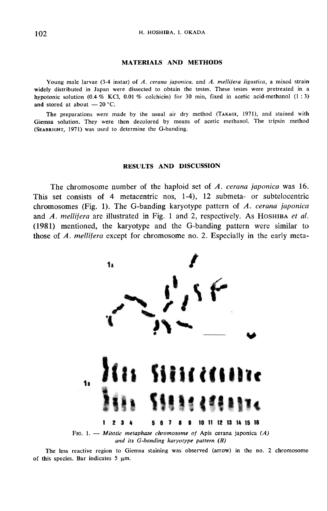## MATERIALS AND METHODS

Young male larvae (3-4 instar) of A. cerana japonica, and A. mellifera ligustica, a mixed strain widely distributed in Japan were dissected to obtain the testes. These testes were pretreated in a hypotonic solution  $(0.4\% \text{ KCl}, 0.01\% \text{ colchicin})$  for 30 min, fixed in acetic acid-methanol  $(1:3)$ and stored at about  $-20$  °C.

widely distributed in Japan were dissected to obtain the testes. These testes were pretreated in a<br>hypotonic solution  $(0.4\%$  KCl,  $0.01\%$  colchicin) for 30 min, fixed in acetic acid-methanol  $(1:3)$ <br>and stored at about Giemsa solution. They were then decolored by means of acetic methanol. The tripsin method (SEABRIGHT, 1971) was used to determine the G-banding.

### RESULTS AND DISCUSSION

The chromosome number of the haploid set of A. cerana japonica was 16. This set consists of 4 metacentric nos, 1-4), 12 submeta- or subtelocentric chromosomes (Fig. 1). The G-banding karyotype pattern of  $A$ . cerana japonica The chromosome number of the haploid set of A. cerana japonica was 16.<br>This set consists of 4 metacentric nos, 1-4), 12 submeta- or subtelocentric<br>chromosomes (Fig. 1). The G-banding karyotype pattern of A. cerana japonica (1981) mentioned, the karyotype and the G-banding pattern were similar to those of A. mellifera except for chromosome no. 2. Especially in the early meta-



FIG. 1. — Mitotic metaphase chromosome of Apis cerana iaponica  $(A)$ and its G-banding karyotype pattern (B)

The less reactive region to Giemsa staining was observed (arrow) in the no. 2 chromosome of this species. Bar indicates  $5 \mu m$ .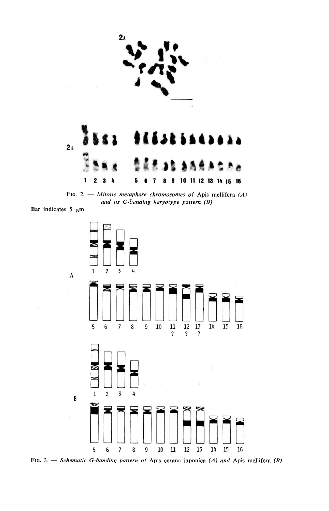

FIG. 2. - Mitotic metaphase chromosomes of Apis mellifera  $(A)$ and its G-banding karyotype pattern (B)

Bar indicates  $5 \mu m$ .



FIG. 3. -- Schematic G-banding pattern of Apis cerana japonica (A) and Apis mellifera (B)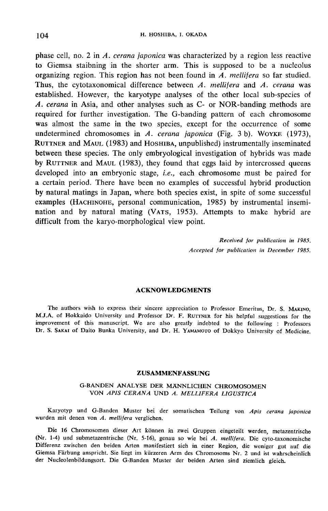phase cell, no. 2 in A. cerana japonica was characterized by a region less reactive to Giemsa staibning in the shorter arm. This is supposed to be a nucleolus organizing region. This region has not been found in  $\overline{A}$ . mellifera so far studied. Thus, the cytotaxonomical difference between  $A$ . mellifera and  $A$ . cerana was established. However, the karyotype analyses of the other local sub-species of A. cerana in Asia, and other analyses such as C- or NOR-banding methods are required for further investigation. The G-banding pattern of each chromosome was almost the same in the two species, except for the occurrence of some A. cerana in Asia, and other analyses such as C- or NOK-banding methods are required for further investigation. The G-banding pattern of each chromosome was almost the same in the two species, except for the occurrence of between these species. The only embryological investigation of hybrids was made<br>by RUTTNER and MAUL (1983), they found that eggs laid by intercrossed queens was annost the same in the two species, except for the occurrence of some<br>undetermined chromosomes in A. cerana japonica (Fig. 3 b). WOYKE (1973),<br>RUTTNER and MAUL (1983) and HosHIBA, unpublished) instrumentally inseminat developed into an embryonic stage, *i.e.*, each chromosome must be paired for a certain period. There have been no examples of successful hybrid production by natural matings in Japan, where both species exist, in spite of some successful between these species. The only embryological investigation of hybrids was made<br>by RUTTNER and MAUL (1983), they found that eggs laid by intercrossed queens<br>developed into an embryonic stage, *i.e.*, each chromosome must b nation and by natural mating (VATS, 1953). Attempts to make hybrid are difficult from the karyo-morphological view point.

> Received for publication in 1985. Accepted for publication in December 1985.

## ACKNOWLEDGMENTS

**ACKNOWLEDGMENTS**<br>The authors wish to express their sincere appreciation to Professor Emeritus, Dr. S. MAKINO,<br>M.J.A. of Hokkaido University and Professor Dr. F. RUTTNER for his helpful suggestions for the<br>improvement of t The authors improvement of this manuscript. We are also greatly indebted to the following : Professors<br>Dr. S. SAKAI of Daito Bunka University, and Dr. H. YAMAMOTO of Dokkyo University of Medicine. The authors wish to express their sincere appreciation to Professor Emeritus, Dr. S. MAKINO, M.J.A. of Hokkaido University and Professor Dr. F. RUTTNER for his helpful suggestions for the improvement of this manuscript. We

### ZUSAMMENFASSUNG

# G-BANDEN ANALYSE DER MÄNNLICHEN CHROMOSOMEN VON APIS CERANA UND A. MELLIFERA LIGUSTICA

Karyotyp und G-Banden Muster bei der somatischen Teilung von Apis cerana japonica wurden mit denen von A. mellifera verglichen.

Die 16 Chromosomen dieser Art können in zwei Gruppen eingeteilt werden, metazentrische (Nr. 1-4) und submetazentrische (Nr. 5-16), genau so wie bei A. mellifera. Die cyto-taxonomische Differenz zwischen den beiden Arten manifestiert sich in einer Region, die weniger gut auf die Giemsa Färbung anspricht. Sie liegt im kürzeren Arm des Chromosoms Nr. 2 und ist wahrscheinlich der Nucleolenbildungsort. Die G-Banden Muster der beiden Arten sind ziemlich gleich.